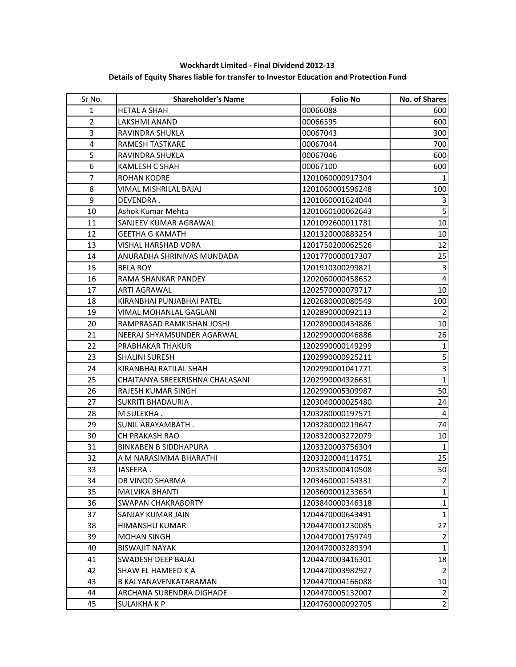| Sr No.         | <b>Shareholder's Name</b>       | <b>Folio No</b>  | No. of Shares  |
|----------------|---------------------------------|------------------|----------------|
| $\mathbf{1}$   | <b>HETAL A SHAH</b>             | 00066088         | 600            |
| $\overline{2}$ | LAKSHMI ANAND                   | 00066595         | 600            |
| 3              | RAVINDRA SHUKLA                 | 00067043         | 300            |
| $\overline{4}$ | RAMESH TASTKARE                 | 00067044         | 700            |
| 5              | RAVINDRA SHUKLA                 | 00067046         | 600            |
| 6              | <b>KAMLESH C SHAH</b>           | 00067100         | 600            |
| $\overline{7}$ | ROHAN KODRE                     | 1201060000917304 | $\mathbf{1}$   |
| 8              | VIMAL MISHRILAL BAJAJ           | 1201060001596248 | 100            |
| 9              | DEVENDRA .                      | 1201060001624044 | 3              |
| 10             | Ashok Kumar Mehta               | 1201060100062643 | 5              |
| 11             | SANJEEV KUMAR AGRAWAL           | 1201092600011781 | $10\,$         |
| 12             | <b>GEETHA G KAMATH</b>          | 1201320000883254 | 10             |
| 13             | VISHAL HARSHAD VORA             | 1201750200062526 | 12             |
| 14             | ANURADHA SHRINIVAS MUNDADA      | 1201770000017307 | 25             |
| 15             | <b>BELA ROY</b>                 | 1201910300299821 | $\mathsf 3$    |
| 16             | RAMA SHANKAR PANDEY             | 1202060000458652 | $\overline{4}$ |
| 17             | ARTI AGRAWAL                    | 1202570000079717 | 10             |
| 18             | KIRANBHAI PUNJABHAI PATEL       | 1202680000080549 | 100            |
| 19             | VIMAL MOHANLAL GAGLANI          | 1202890000092113 | 2              |
| 20             | RAMPRASAD RAMKISHAN JOSHI       | 1202890000434886 | 10             |
| 21             | NEERAJ SHYAMSUNDER AGARWAL      | 1202990000046886 | 26             |
| 22             | PRABHAKAR THAKUR                | 1202990000149299 | 1              |
| 23             | SHALINI SURESH                  | 1202990000925211 | 5              |
| 24             | KIRANBHAI RATILAL SHAH          | 1202990001041771 | 3              |
| 25             | CHAITANYA SREEKRISHNA CHALASANI | 1202990004326631 | $\mathbf{1}$   |
| 26             | RAJESH KUMAR SINGH              | 1202990005309987 | 50             |
| 27             | SUKRITI BHADAURIA.              | 1203040000025480 | 24             |
| 28             | M SULEKHA.                      | 1203280000197571 | 4              |
| 29             | SUNIL ARAYAMBATH.               | 1203280000219647 | 74             |
| 30             | <b>CH PRAKASH RAO</b>           | 1203320003272079 | 10             |
| 31             | <b>BINKABEN B SIDDHAPURA</b>    | 1203320003756304 | 1              |
| 32             | A M NARASIMMA BHARATHI          | 1203320004114751 | 25             |
| 33             | JASEERA.                        | 1203350000410508 | 50             |
| 34             | DR VINOD SHARMA                 | 1203460000154331 | $\overline{2}$ |
| 35             | <b>MALVIKA BHANTI</b>           | 1203600001233654 | $\mathbf{1}$   |
| 36             | SWAPAN CHAKRABORTY              | 1203840000346318 | $\mathbf{1}$   |
| 37             | SANJAY KUMAR JAIN               | 1204470000643491 | $\mathbf{1}$   |
| 38             | HIMANSHU KUMAR                  | 1204470001230085 | 27             |
| 39             | <b>MOHAN SINGH</b>              | 1204470001759749 | $\overline{2}$ |
| 40             | <b>BISWAJIT NAYAK</b>           | 1204470003289394 | $\mathbf{1}$   |
| 41             | SWADESH DEEP BAJAJ              | 1204470003416301 | 18             |
| 42             | SHAW EL HAMEED K A              | 1204470003982927 | 2              |
| 43             | B KALYANAVENKATARAMAN           | 1204470004166088 | 10             |
| 44             | ARCHANA SURENDRA DIGHADE        | 1204470005132007 | 2              |
| 45             | SULAIKHA K P                    | 1204760000092705 | $\mathbf 2$    |

**Wockhardt Limited - Final Dividend 2012-13 Details of Equity Shares liable for transfer to Investor Education and Protection Fund**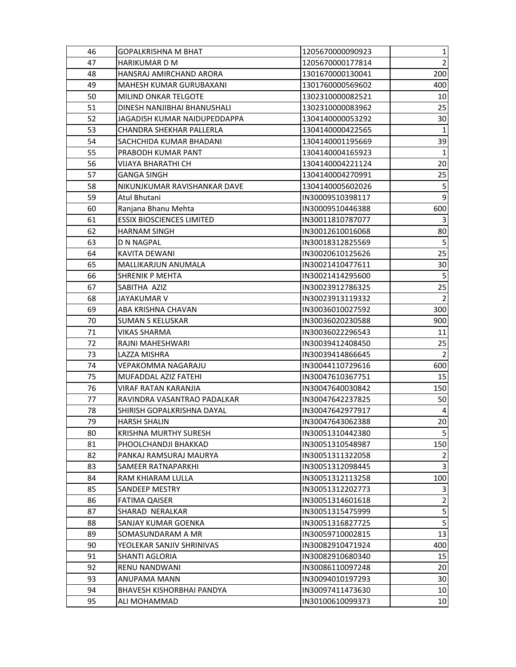| 46 | GOPALKRISHNA M BHAT              | 1205670000090923 | $\mathbf{1}$   |
|----|----------------------------------|------------------|----------------|
| 47 | <b>HARIKUMAR D M</b>             | 1205670000177814 | 2              |
| 48 | HANSRAJ AMIRCHAND ARORA          | 1301670000130041 | 200            |
| 49 | MAHESH KUMAR GURUBAXANI          | 1301760000569602 | 400            |
| 50 | MILIND ONKAR TELGOTE             | 1302310000082521 | 10             |
| 51 | DINESH NANJIBHAI BHANUSHALI      | 1302310000083962 | 25             |
| 52 | JAGADISH KUMAR NAIDUPEDDAPPA     | 1304140000053292 | 30             |
| 53 | CHANDRA SHEKHAR PALLERLA         | 1304140000422565 | $\mathbf{1}$   |
| 54 | SACHCHIDA KUMAR BHADANI          | 1304140001195669 | 39             |
| 55 | PRABODH KUMAR PANT               | 1304140004165923 | $\mathbf 1$    |
| 56 | VIJAYA BHARATHI CH               | 1304140004221124 | 20             |
| 57 | <b>GANGA SINGH</b>               | 1304140004270991 | 25             |
| 58 | NIKUNJKUMAR RAVISHANKAR DAVE     | 1304140005602026 | 5              |
| 59 | Atul Bhutani                     | IN30009510398117 | 9              |
| 60 | Ranjana Bhanu Mehta              | IN30009510446388 | 600            |
| 61 | <b>ESSIX BIOSCIENCES LIMITED</b> | IN30011810787077 | $\mathbf{3}$   |
| 62 | <b>HARNAM SINGH</b>              | IN30012610016068 | 80             |
| 63 | <b>D N NAGPAL</b>                | IN30018312825569 | 5              |
| 64 | <b>KAVITA DEWANI</b>             | IN30020610125626 | 25             |
| 65 | MALLIKARJUN ANUMALA              | IN30021410477611 | 30             |
| 66 | <b>SHRENIK P MEHTA</b>           | IN30021414295600 | $\overline{5}$ |
| 67 | SABITHA AZIZ                     | IN30023912786325 | 25             |
| 68 | <b>JAYAKUMAR V</b>               | IN30023913119332 | $\overline{2}$ |
| 69 | ABA KRISHNA CHAVAN               | IN30036010027592 | 300            |
| 70 | <b>SUMAN S KELUSKAR</b>          | IN30036020230588 | 900            |
| 71 | <b>VIKAS SHARMA</b>              | IN30036022296543 | 11             |
| 72 | RAJNI MAHESHWARI                 | IN30039412408450 | 25             |
| 73 | LAZZA MISHRA                     | IN30039414866645 | $\overline{2}$ |
| 74 | VEPAKOMMA NAGARAJU               | IN30044110729616 | 600            |
| 75 | MUFADDAL AZIZ FATEHI             | IN30047610367751 | 15             |
| 76 | <b>VIRAF RATAN KARANJIA</b>      | IN30047640030842 | 150            |
| 77 | RAVINDRA VASANTRAO PADALKAR      | IN30047642237825 | 50             |
| 78 | SHIRISH GOPALKRISHNA DAYAL       | IN30047642977917 | 4              |
| 79 | <b>HARSH SHALIN</b>              | IN30047643062388 | 20             |
| 80 | <b>KRISHNA MURTHY SURESH</b>     | IN30051310442380 | 5              |
| 81 | PHOOLCHANDJI BHAKKAD             | IN30051310548987 | 150            |
| 82 | PANKAJ RAMSURAJ MAURYA           | IN30051311322058 | 2              |
| 83 | <b>SAMEER RATNAPARKHI</b>        | IN30051312098445 | $\overline{3}$ |
| 84 | RAM KHIARAM LULLA                | IN30051312113258 | 100            |
| 85 | SANDEEP MESTRY                   | IN30051312202773 | $\mathsf 3$    |
| 86 | <b>FATIMA QAISER</b>             | IN30051314601618 | $\overline{2}$ |
| 87 | SHARAD NERALKAR                  | IN30051315475999 | 5              |
| 88 | SANJAY KUMAR GOENKA              | IN30051316827725 | 5              |
| 89 | SOMASUNDARAM A MR                | IN30059710002815 | 13             |
| 90 | YEOLEKAR SANJIV SHRINIVAS        | IN30082910471924 | 400            |
| 91 | SHANTI AGLORIA                   | IN30082910680340 | 15             |
| 92 | <b>RENU NANDWANI</b>             | IN30086110097248 | 20             |
| 93 | ANUPAMA MANN                     | IN30094010197293 | 30             |
| 94 | <b>BHAVESH KISHORBHAI PANDYA</b> | IN30097411473630 | $10\,$         |
| 95 | ALI MOHAMMAD                     | IN30100610099373 | $10\,$         |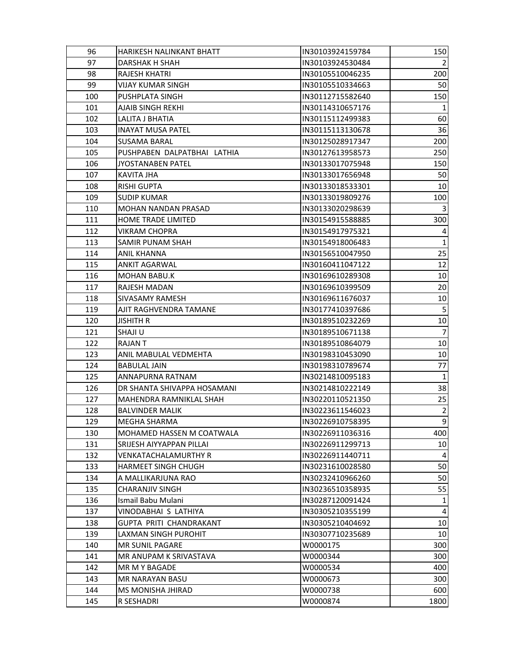| 96  | HARIKESH NALINKANT BHATT    | IN30103924159784 | 150         |
|-----|-----------------------------|------------------|-------------|
| 97  | DARSHAK H SHAH              | IN30103924530484 |             |
| 98  | <b>RAJESH KHATRI</b>        | IN30105510046235 | 200         |
| 99  | <b>VIJAY KUMAR SINGH</b>    | IN30105510334663 | 50          |
| 100 | <b>PUSHPLATA SINGH</b>      | IN30112715582640 | 150         |
| 101 | <b>AJAIB SINGH REKHI</b>    | IN30114310657176 |             |
| 102 | LALITA J BHATIA             | IN30115112499383 | 60          |
| 103 | <b>INAYAT MUSA PATEL</b>    | IN30115113130678 | 36          |
| 104 | <b>SUSAMA BARAL</b>         | IN30125028917347 | 200         |
| 105 | PUSHPABEN DALPATBHAI LATHIA | IN30127613958573 | 250         |
| 106 | <b>JYOSTANABEN PATEL</b>    | IN30133017075948 | 150         |
| 107 | <b>KAVITA JHA</b>           | IN30133017656948 | 50          |
| 108 | <b>RISHI GUPTA</b>          | IN30133018533301 | 10          |
| 109 | <b>SUDIP KUMAR</b>          | IN30133019809276 | 100         |
| 110 | <b>MOHAN NANDAN PRASAD</b>  | IN30133020298639 | 3           |
| 111 | <b>HOME TRADE LIMITED</b>   | IN30154915588885 | 300         |
| 112 | <b>VIKRAM CHOPRA</b>        | IN30154917975321 |             |
| 113 | SAMIR PUNAM SHAH            | IN30154918006483 | 1           |
| 114 | <b>ANIL KHANNA</b>          | IN30156510047950 | 25          |
| 115 | <b>ANKIT AGARWAL</b>        | IN30160411047122 | 12          |
| 116 | <b>MOHAN BABU.K</b>         | IN30169610289308 | 10          |
| 117 | RAJESH MADAN                | IN30169610399509 | 20          |
| 118 | SIVASAMY RAMESH             | IN30169611676037 | 10          |
| 119 | AJIT RAGHVENDRA TAMANE      | IN30177410397686 | 5           |
| 120 | <b>JISHITH R</b>            | IN30189510232269 | 10          |
| 121 | <b>SHAJI U</b>              | IN30189510671138 | 7           |
| 122 | RAJAN T                     | IN30189510864079 | 10          |
| 123 | ANIL MABULAL VEDMEHTA       | IN30198310453090 | 10          |
| 124 | <b>BABULAL JAIN</b>         | IN30198310789674 | 77          |
| 125 | ANNAPURNA RATNAM            | IN30214810095183 | 1           |
| 126 | DR SHANTA SHIVAPPA HOSAMANI | IN30214810222149 | 38          |
| 127 | MAHENDRA RAMNIKLAL SHAH     | IN30220110521350 | 25          |
| 128 | <b>BALVINDER MALIK</b>      | IN30223611546023 | $\mathbf 2$ |
| 129 | MEGHA SHARMA                | IN30226910758395 | 9           |
| 130 | MOHAMED HASSEN M COATWALA   | IN30226911036316 | 400         |
| 131 | SRIJESH AIYYAPPAN PILLAI    | IN30226911299713 | 10          |
| 132 | <b>VENKATACHALAMURTHY R</b> | IN30226911440711 | 4           |
| 133 | <b>HARMEET SINGH CHUGH</b>  | IN30231610028580 | 50          |
| 134 | A MALLIKARJUNA RAO          | IN30232410966260 | 50          |
| 135 | <b>CHARANJIV SINGH</b>      | IN30236510358935 | 55          |
| 136 | Ismail Babu Mulani          | IN30287120091424 | 1           |
| 137 | VINODABHAI S LATHIYA        | IN30305210355199 | 4           |
| 138 | GUPTA PRITI CHANDRAKANT     | IN30305210404692 | 10          |
| 139 | LAXMAN SINGH PUROHIT        | IN30307710235689 | 10          |
| 140 | MR SUNIL PAGARE             | W0000175         | 300         |
| 141 | MR ANUPAM K SRIVASTAVA      | W0000344         | 300         |
| 142 | MR M Y BAGADE               | W0000534         | 400         |
| 143 | MR NARAYAN BASU             | W0000673         | 300         |
| 144 | MS MONISHA JHIRAD           | W0000738         | 600         |
| 145 | R SESHADRI                  | W0000874         | 1800        |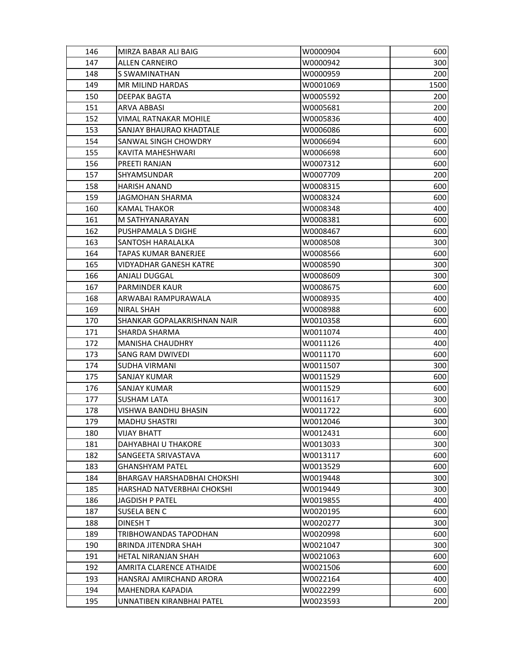| 146 | MIRZA BABAR ALI BAIG               | W0000904 | 600  |
|-----|------------------------------------|----------|------|
| 147 | ALLEN CARNEIRO                     | W0000942 | 300  |
| 148 | <b>S SWAMINATHAN</b>               | W0000959 | 200  |
| 149 | <b>MR MILIND HARDAS</b>            | W0001069 | 1500 |
| 150 | <b>DEEPAK BAGTA</b>                | W0005592 | 200  |
| 151 | ARVA ABBASI                        | W0005681 | 200  |
| 152 | VIMAL RATNAKAR MOHILE              | W0005836 | 400  |
| 153 | SANJAY BHAURAO KHADTALE            | W0006086 | 600  |
| 154 | SANWAL SINGH CHOWDRY               | W0006694 | 600  |
| 155 | KAVITA MAHESHWARI                  | W0006698 | 600  |
| 156 | PREETI RANJAN                      | W0007312 | 600  |
| 157 | <b>SHYAMSUNDAR</b>                 | W0007709 | 200  |
| 158 | <b>HARISH ANAND</b>                | W0008315 | 600  |
| 159 | JAGMOHAN SHARMA                    | W0008324 | 600  |
| 160 | <b>KAMAL THAKOR</b>                | W0008348 | 400  |
| 161 | M SATHYANARAYAN                    | W0008381 | 600  |
| 162 | PUSHPAMALA S DIGHE                 | W0008467 | 600  |
| 163 | <b>SANTOSH HARALALKA</b>           | W0008508 | 300  |
| 164 | TAPAS KUMAR BANERJEE               | W0008566 | 600  |
| 165 | VIDYADHAR GANESH KATRE             | W0008590 | 300  |
| 166 | ANJALI DUGGAL                      | W0008609 | 300  |
| 167 | <b>PARMINDER KAUR</b>              | W0008675 | 600  |
| 168 | ARWABAI RAMPURAWALA                | W0008935 | 400  |
| 169 | <b>NIRAL SHAH</b>                  | W0008988 | 600  |
| 170 | SHANKAR GOPALAKRISHNAN NAIR        | W0010358 | 600  |
| 171 | <b>SHARDA SHARMA</b>               | W0011074 | 400  |
| 172 | <b>MANISHA CHAUDHRY</b>            | W0011126 | 400  |
| 173 | <b>SANG RAM DWIVEDI</b>            | W0011170 | 600  |
| 174 | <b>SUDHA VIRMANI</b>               | W0011507 | 300  |
| 175 | <b>SANJAY KUMAR</b>                | W0011529 | 600  |
| 176 | <b>SANJAY KUMAR</b>                | W0011529 | 600  |
| 177 | <b>SUSHAM LATA</b>                 | W0011617 | 300  |
| 178 | VISHWA BANDHU BHASIN               | W0011722 | 600  |
| 179 | <b>MADHU SHASTRI</b>               | W0012046 | 300  |
| 180 | <b>VIJAY BHATT</b>                 | W0012431 | 600  |
| 181 | DAHYABHAI U THAKORE                | W0013033 | 300  |
| 182 | SANGEETA SRIVASTAVA                | W0013117 | 600  |
| 183 | GHANSHYAM PATEL                    | W0013529 | 600  |
| 184 | <b>BHARGAV HARSHADBHAI CHOKSHI</b> | W0019448 | 300  |
| 185 | HARSHAD NATVERBHAI CHOKSHI         | W0019449 | 300  |
| 186 | <b>JAGDISH P PATEL</b>             | W0019855 | 400  |
| 187 | <b>SUSELA BEN C</b>                | W0020195 | 600  |
| 188 | DINESH T                           | W0020277 | 300  |
| 189 | TRIBHOWANDAS TAPODHAN              | W0020998 | 600  |
| 190 | <b>BRINDA JITENDRA SHAH</b>        | W0021047 | 300  |
| 191 | HETAL NIRANJAN SHAH                | W0021063 | 600  |
| 192 | AMRITA CLARENCE ATHAIDE            | W0021506 | 600  |
| 193 | HANSRAJ AMIRCHAND ARORA            | W0022164 | 400  |
| 194 | <b>MAHENDRA KAPADIA</b>            | W0022299 | 600  |
| 195 | UNNATIBEN KIRANBHAI PATEL          | W0023593 | 200  |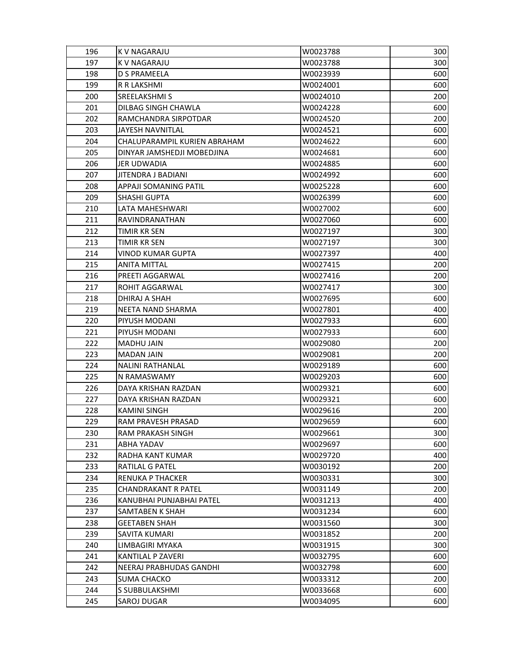| 196 | K V NAGARAJU                 | W0023788 | 300 |
|-----|------------------------------|----------|-----|
| 197 | K V NAGARAJU                 | W0023788 | 300 |
| 198 | <b>D S PRAMEELA</b>          | W0023939 | 600 |
| 199 | R R LAKSHMI                  | W0024001 | 600 |
| 200 | SREELAKSHMI S                | W0024010 | 200 |
| 201 | DILBAG SINGH CHAWLA          | W0024228 | 600 |
| 202 | RAMCHANDRA SIRPOTDAR         | W0024520 | 200 |
| 203 | <b>JAYESH NAVNITLAL</b>      | W0024521 | 600 |
| 204 | CHALUPARAMPIL KURIEN ABRAHAM | W0024622 | 600 |
| 205 | DINYAR JAMSHEDJI MOBEDJINA   | W0024681 | 600 |
| 206 | JER UDWADIA                  | W0024885 | 600 |
| 207 | <b>JITENDRA J BADIANI</b>    | W0024992 | 600 |
| 208 | APPAJI SOMANING PATIL        | W0025228 | 600 |
| 209 | <b>SHASHI GUPTA</b>          | W0026399 | 600 |
| 210 | LATA MAHESHWARI              | W0027002 | 600 |
| 211 | RAVINDRANATHAN               | W0027060 | 600 |
| 212 | <b>TIMIR KR SEN</b>          | W0027197 | 300 |
| 213 | <b>TIMIR KR SEN</b>          | W0027197 | 300 |
| 214 | <b>VINOD KUMAR GUPTA</b>     | W0027397 | 400 |
| 215 | <b>ANITA MITTAL</b>          | W0027415 | 200 |
| 216 | PREETI AGGARWAL              | W0027416 | 200 |
| 217 | ROHIT AGGARWAL               | W0027417 | 300 |
| 218 | DHIRAJ A SHAH                | W0027695 | 600 |
| 219 | NEETA NAND SHARMA            | W0027801 | 400 |
| 220 | PIYUSH MODANI                | W0027933 | 600 |
| 221 | PIYUSH MODANI                | W0027933 | 600 |
| 222 | MADHU JAIN                   | W0029080 | 200 |
| 223 | <b>MADAN JAIN</b>            | W0029081 | 200 |
| 224 | <b>NALINI RATHANLAL</b>      | W0029189 | 600 |
| 225 | N RAMASWAMY                  | W0029203 | 600 |
| 226 | DAYA KRISHAN RAZDAN          | W0029321 | 600 |
| 227 | DAYA KRISHAN RAZDAN          | W0029321 | 600 |
| 228 | <b>KAMINI SINGH</b>          | W0029616 | 200 |
| 229 | <b>RAM PRAVESH PRASAD</b>    | W0029659 | 600 |
| 230 | RAM PRAKASH SINGH            | W0029661 | 300 |
| 231 | ABHA YADAV                   | W0029697 | 600 |
| 232 | RADHA KANT KUMAR             | W0029720 | 400 |
| 233 | <b>RATILAL G PATEL</b>       | W0030192 | 200 |
| 234 | <b>RENUKA P THACKER</b>      | W0030331 | 300 |
| 235 | CHANDRAKANT R PATEL          | W0031149 | 200 |
| 236 | KANUBHAI PUNJABHAI PATEL     | W0031213 | 400 |
| 237 | SAMTABEN K SHAH              | W0031234 | 600 |
| 238 | <b>GEETABEN SHAH</b>         | W0031560 | 300 |
| 239 | SAVITA KUMARI                | W0031852 | 200 |
| 240 | LIMBAGIRI MYAKA              | W0031915 | 300 |
| 241 | KANTILAL P ZAVERI            | W0032795 | 600 |
| 242 | NEERAJ PRABHUDAS GANDHI      | W0032798 | 600 |
| 243 | <b>SUMA CHACKO</b>           | W0033312 | 200 |
| 244 | S SUBBULAKSHMI               | W0033668 | 600 |
| 245 | SAROJ DUGAR                  | W0034095 | 600 |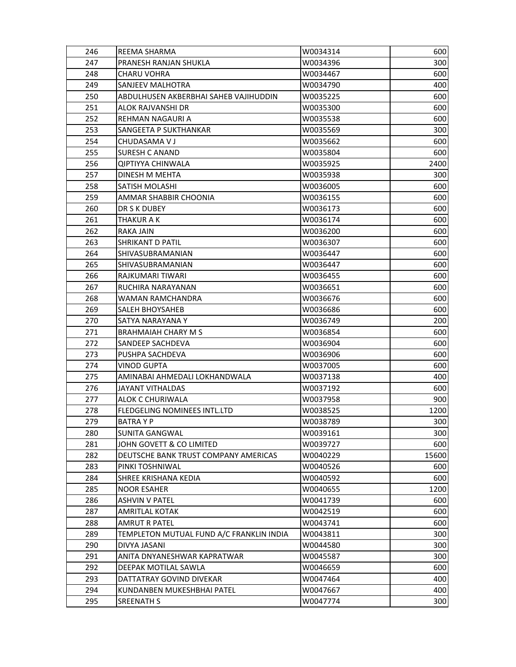| 246 | <b>REEMA SHARMA</b>                      | W0034314 | 600   |
|-----|------------------------------------------|----------|-------|
| 247 | <b>PRANESH RANJAN SHUKLA</b>             | W0034396 | 300   |
| 248 | <b>CHARU VOHRA</b>                       | W0034467 | 600   |
| 249 | <b>SANJEEV MALHOTRA</b>                  | W0034790 | 400   |
| 250 | ABDULHUSEN AKBERBHAI SAHEB VAJIHUDDIN    | W0035225 | 600   |
| 251 | ALOK RAJVANSHI DR                        | W0035300 | 600   |
| 252 | REHMAN NAGAURI A                         | W0035538 | 600   |
| 253 | <b>SANGEETA P SUKTHANKAR</b>             | W0035569 | 300   |
| 254 | CHUDASAMA V J                            | W0035662 | 600   |
| 255 | <b>SURESH C ANAND</b>                    | W0035804 | 600   |
| 256 | <b>QIPTIYYA CHINWALA</b>                 | W0035925 | 2400  |
| 257 | DINESH M MEHTA                           | W0035938 | 300   |
| 258 | <b>SATISH MOLASHI</b>                    | W0036005 | 600   |
| 259 | AMMAR SHABBIR CHOONIA                    | W0036155 | 600   |
| 260 | DR S K DUBEY                             | W0036173 | 600   |
| 261 | THAKUR A K                               | W0036174 | 600   |
| 262 | <b>RAKA JAIN</b>                         | W0036200 | 600   |
| 263 | <b>SHRIKANT D PATIL</b>                  | W0036307 | 600   |
| 264 | SHIVASUBRAMANIAN                         | W0036447 | 600   |
| 265 | SHIVASUBRAMANIAN                         | W0036447 | 600   |
| 266 | RAJKUMARI TIWARI                         | W0036455 | 600   |
| 267 | RUCHIRA NARAYANAN                        | W0036651 | 600   |
| 268 | WAMAN RAMCHANDRA                         | W0036676 | 600   |
| 269 | SALEH BHOYSAHEB                          | W0036686 | 600   |
| 270 | SATYA NARAYANA Y                         | W0036749 | 200   |
| 271 | <b>BRAHMAIAH CHARY M S</b>               | W0036854 | 600   |
| 272 | <b>SANDEEP SACHDEVA</b>                  | W0036904 | 600   |
| 273 | PUSHPA SACHDEVA                          | W0036906 | 600   |
| 274 | VINOD GUPTA                              | W0037005 | 600   |
| 275 | AMINABAI AHMEDALI LOKHANDWALA            | W0037138 | 400   |
| 276 | <b>JAYANT VITHALDAS</b>                  | W0037192 | 600   |
| 277 | ALOK C CHURIWALA                         | W0037958 | 900   |
| 278 | FLEDGELING NOMINEES INTL.LTD             | W0038525 | 1200  |
| 279 | <b>BATRAYP</b>                           | W0038789 | 300   |
| 280 | <b>SUNITA GANGWAL</b>                    | W0039161 | 300   |
| 281 | JOHN GOVETT & CO LIMITED                 | W0039727 | 600   |
| 282 | DEUTSCHE BANK TRUST COMPANY AMERICAS     | W0040229 | 15600 |
| 283 | PINKI TOSHNIWAL                          | W0040526 | 600   |
| 284 | <b>SHREE KRISHANA KEDIA</b>              | W0040592 | 600   |
| 285 | <b>NOOR ESAHER</b>                       | W0040655 | 1200  |
| 286 | <b>ASHVIN V PATEL</b>                    | W0041739 | 600   |
| 287 | <b>AMRITLAL KOTAK</b>                    | W0042519 | 600   |
| 288 | <b>AMRUT R PATEL</b>                     | W0043741 | 600   |
| 289 | TEMPLETON MUTUAL FUND A/C FRANKLIN INDIA | W0043811 | 300   |
| 290 | DIVYA JASANI                             | W0044580 | 300   |
| 291 | ANITA DNYANESHWAR KAPRATWAR              | W0045587 | 300   |
| 292 | DEEPAK MOTILAL SAWLA                     | W0046659 | 600   |
| 293 | DATTATRAY GOVIND DIVEKAR                 | W0047464 | 400   |
| 294 | KUNDANBEN MUKESHBHAI PATEL               | W0047667 | 400   |
| 295 | <b>SREENATH S</b>                        | W0047774 | 300   |